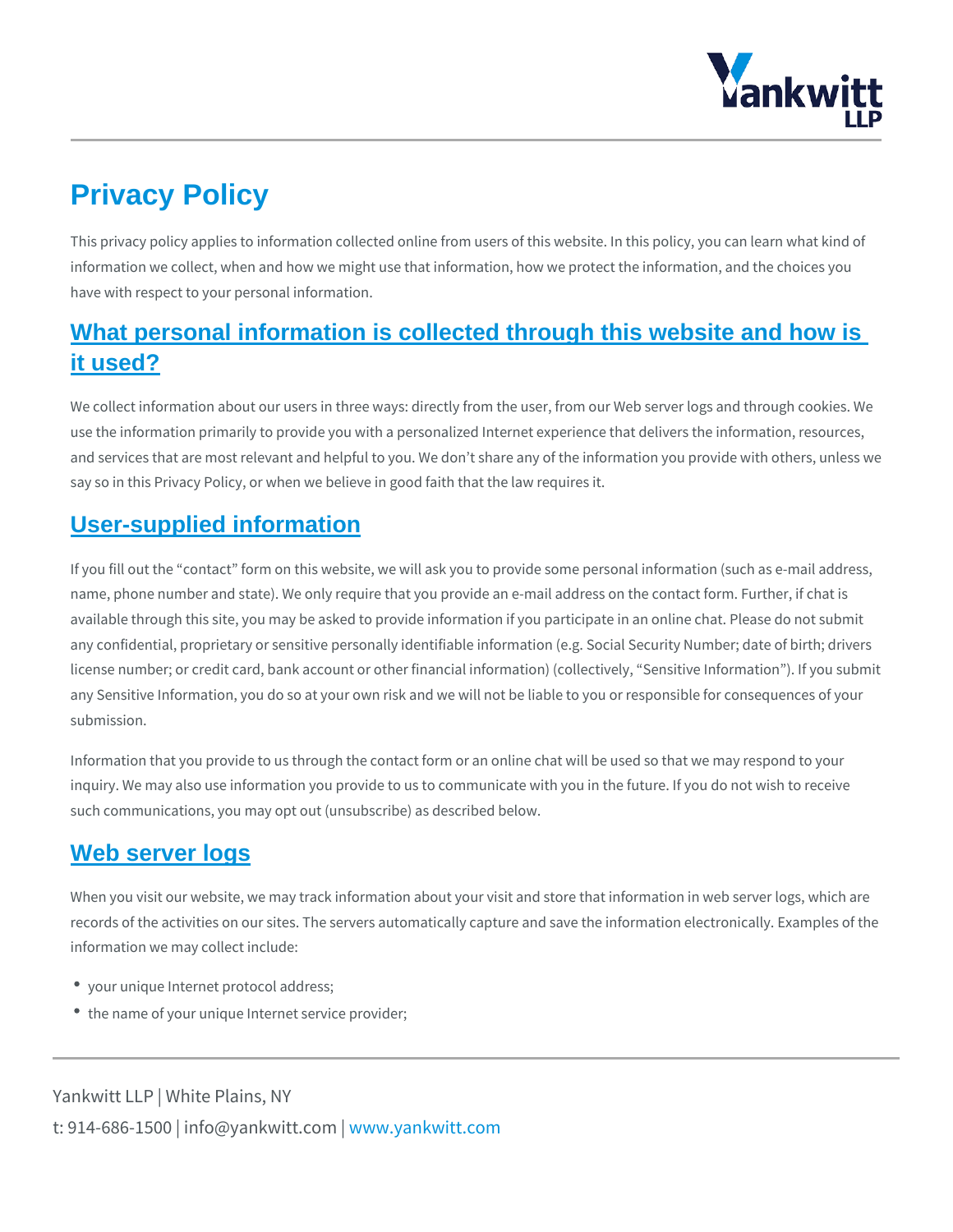# Privacy Policy

This privacy policy applies to information collected online from users of this web information we collect, when and how we might use that information, how we prot have with respect to your personal information.

## What personal information is collected through this website and how is it used?

We collect information about our users in three ways: directly from the user, from use the information primarily to provide you with a personalized Internet experie and services that are most relevant and helpful to you. We don t share any of the say so in this Privacy Policy, or when we believe in good faith that the law requi

### User-supplied information

If you fill out the contact form on this website, we will ask you to provide some name, phone number and state). We only require that you provide an e-mail addr available through this site, you may be asked to provide information if you partic any confidential, proprietary or sensitive personally identifiable information (e.g license number; or credit card, bank account or other financial information) (coll any Sensitive Information, you do so at your own risk and we will not be liable to submission.

Information that you provide to us through the contact form or an online chat wil inquiry. We may also use information you provide to us to communicate with you such communications, you may opt out (unsubscribe) as described below.

### Web server logs

When you visit our website, we may track information about your visit and store records of the activities on our sites. The servers automatically capture and sav information we may collect include:

- your unique Internet protocol address;
- \* the name of your unique Internet service provider;

Yankwitt LLP | White Plains, NY t:  $914 - 686 - 1500$  | info@y wawn ky wom it kt wo it obtm c b m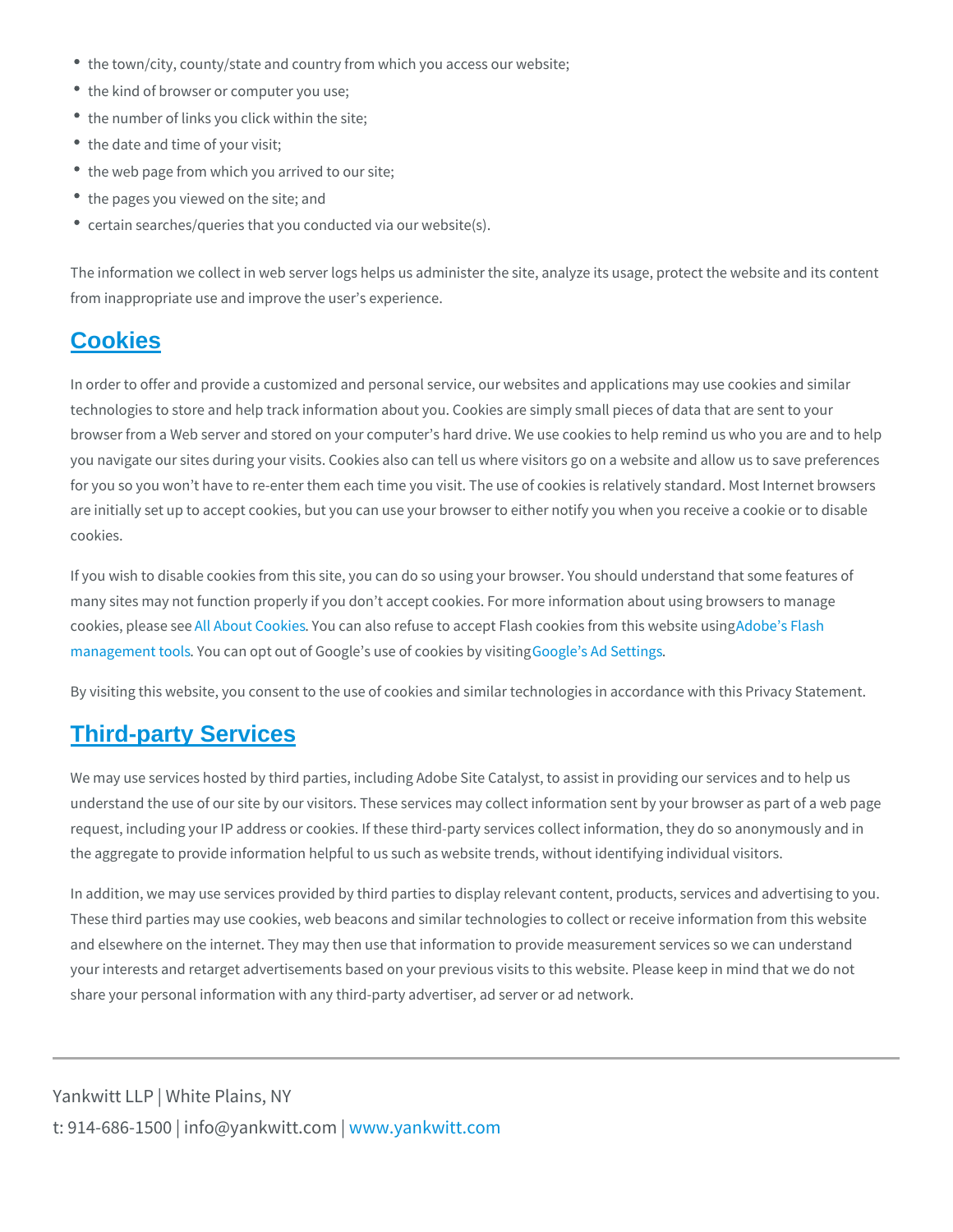- the town/city, county/state and country from which you access our website;
- the kind of browser or computer you use;
- the number of links you click within the site;
- the date and time of your visit;
- the web page from which you arrived to our site;
- the pages you viewed on the site; and
- certain searches/queries that you conducted via our website(s).

The information we collect in web server logs helps us administer the site, analy from inappropriate use and improve the user s experience.

#### **Cookies**

In order to offer and provide a customized and personal service, our websites an technologies to store and help track information about you. Cookies are simply s browser from a Web server and stored on your computer s hard drive. We use cook you navigate our sites during your visits. Cookies also can tell us where visitors for you so you won t have to re-enter them each time you visit. The use of cooki are initially set up to accept cookies, but you can use your browser to either not cookies.

If you wish to disable cookies from this site, you can do so using your browser. many sites may not function properly if you don t accept cookies. For more infor cookies, ple<sup>a</sup>al se<sup>a</sup>l be at CoYcokui essan also refuse to accept Flash coAodkoibes fro<del>finashis</del> wel [managemen](https://www.adobe.com/devnet/security.html)t Yooulscan opt out of Google s usse oodleoso kies Sbeytiwis is ting

By visiting this website, you consent to the use of cookies and similar technolog

### Third-party Services

We may use services hosted by third parties, including Adobe Site Catalyst, to a understand the use of our site by our visitors. These services may collect inform request, including your IP address or cookies. If these third-party services colle the aggregate to provide information helpful to us such as website trends, withou

In addition, we may use services provided by third parties to display relevant co These third parties may use cookies, web beacons and similar technologies to co and elsewhere on the internet. They may then use that information to provide me your interests and retarget advertisements based on your previous visits to this share your personal information with any third-party advertiser, ad server or ad

Yankwitt LLP | White Plains, NY t:  $914 - 686 - 1500$  | info@y wavn ky wintkt wo otm c p m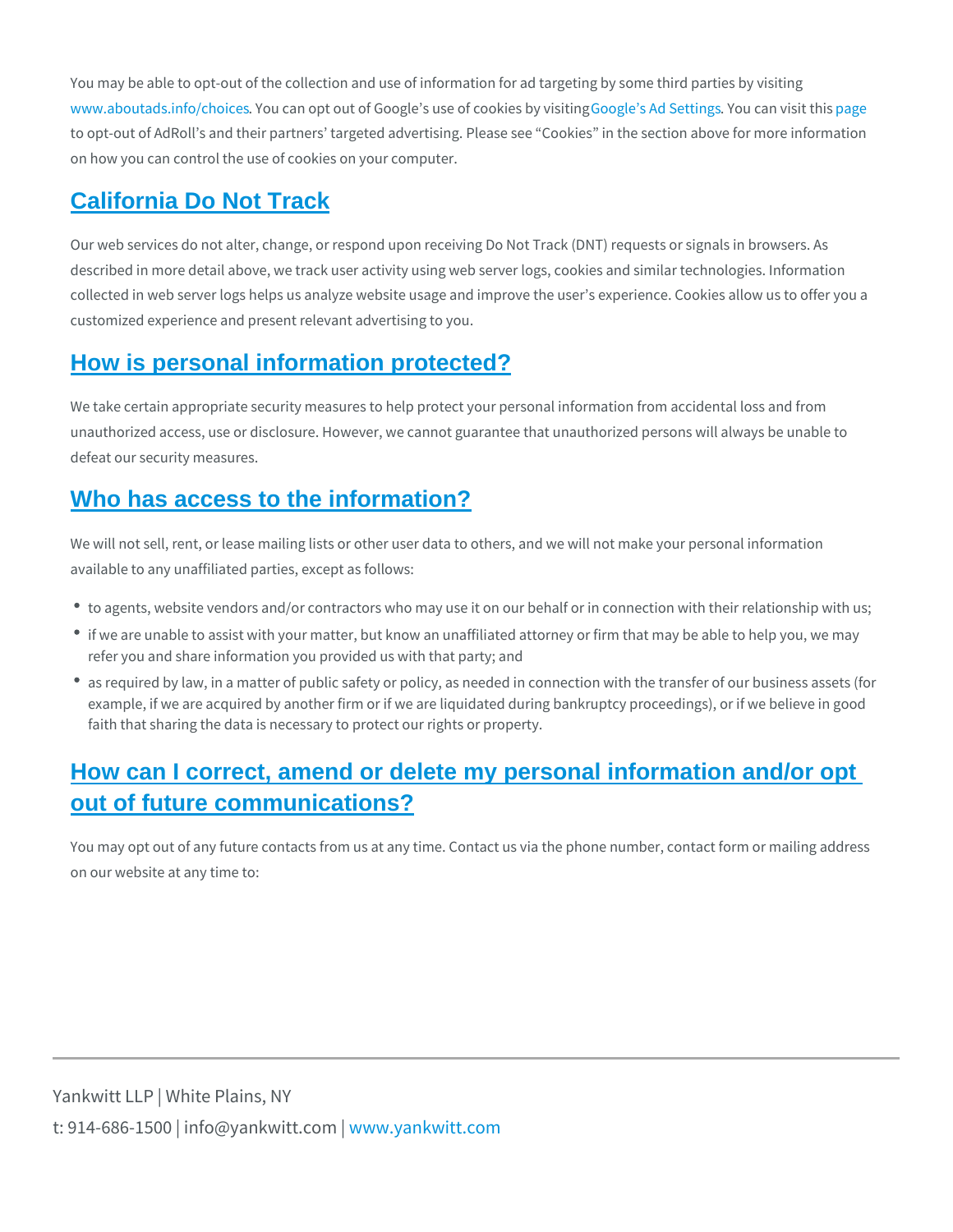You may be able to opt-out of the collection and use of information for ad target [www.aboutads.in](https://www.aboutads.info/choices/)foYobuociaensopt out of Google s uSee oogleosokAielsSYekoytuwicsgastino.jpgs.gitethis to opt-out of AdRoll s and their partners targeted advertising. Please see Cook on how you can control the use of cookies on your computer.

### California Do Not Track

Our web services do not alter, change, or respond upon receiving Do Not Track ( described in more detail above, we track user activity using web server logs, coo collected in web server logs helps us analyze website usage and improve the use customized experience and present relevant advertising to you.

### How is personal information protected?

We take certain appropriate security measures to help protect your personal info unauthorized access, use or disclosure. However, we cannot guarantee that unau defeat our security measures.

### Who has access to the information?

We will not sell, rent, or lease mailing lists or other user data to others, and we available to any unaffiliated parties, except as follows:

- \* to agents, website vendors and/or contractors who may use it on our behalf or
- if we are unable to assist with your matter, but know an unaffiliated attorney o refer you and share information you provided us with that party; and
- as required by law, in a matter of public safety or policy, as needed in connect example, if we are acquired by another firm or if we are liquidated during bank faith that sharing the data is necessary to protect our rights or property.

# How can I correct, amend or delete my personal information and/or opt out of future communications?

You may opt out of any future contacts from us at any time. Contact us via the p on our website at any time to:

Yankwitt LLP | White Plains, NY t:  $914 - 686 - 1500$  | info@y wawn ky wom it kt wo it obtm c b m